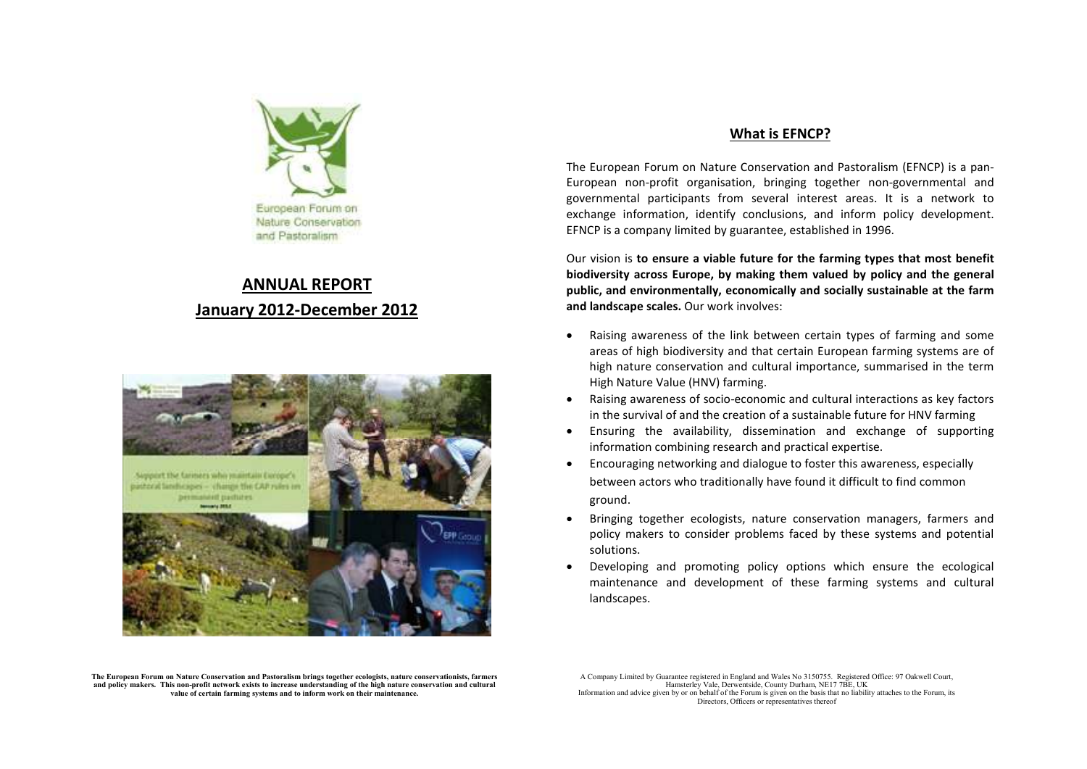

## **ANNUAL REPORTJanuary 2012-December 2012**



## **What is EFNCP?**

The European Forum on Nature Conservation and Pastoralism (EFNCP) is a pan-European non-profit organisation, bringing together non-governmental and governmental participants from several interest areas. It is a network to exchange information, identify conclusions, and inform policy development. EFNCP is a company limited by guarantee, established in 1996.

Our vision is **to ensure a viable future for the farming types that most benefit biodiversity across Europe, by making them valued by policy and the general public, and environmentally, economically and socially sustainable at the farm and landscape scales.** Our work involves:

- • Raising awareness of the link between certain types of farming and some areas of high biodiversity and that certain European farming systems are of high nature conservation and cultural importance, summarised in the term High Nature Value (HNV) farming.
- • Raising awareness of socio-economic and cultural interactions as key factors in the survival of and the creation of a sustainable future for HNV farming
- • Ensuring the availability, dissemination and exchange of supporting information combining research and practical expertise.
- $\bullet$  Encouraging networking and dialogue to foster this awareness, especially between actors who traditionally have found it difficult to find common ground.
- • Bringing together ecologists, nature conservation managers, farmers and policy makers to consider problems faced by these systems and potential solutions.
- • Developing and promoting policy options which ensure the ecological maintenance and development of these farming systems and cultural landscapes.

The European Forum on Nature Conservation and Pastoralism brings together ecologists, nature conservationists, farmers<br>and policy makers. This non-profit network exists to increase understanding of the high nature conserva value of certain farming systems and to inform work on their maintenance.

A Company Limited by Guarantee registered in England and Wales No 3150755. Registered Office: 97 Oakwell Court, Hamsterley Vale, Derwentside, County Durham, NE17 7BE, UK Information and advice given by or on behalf of the Forum is given on the basis that no liability attaches to the Forum, its Directors, Officers or representatives thereof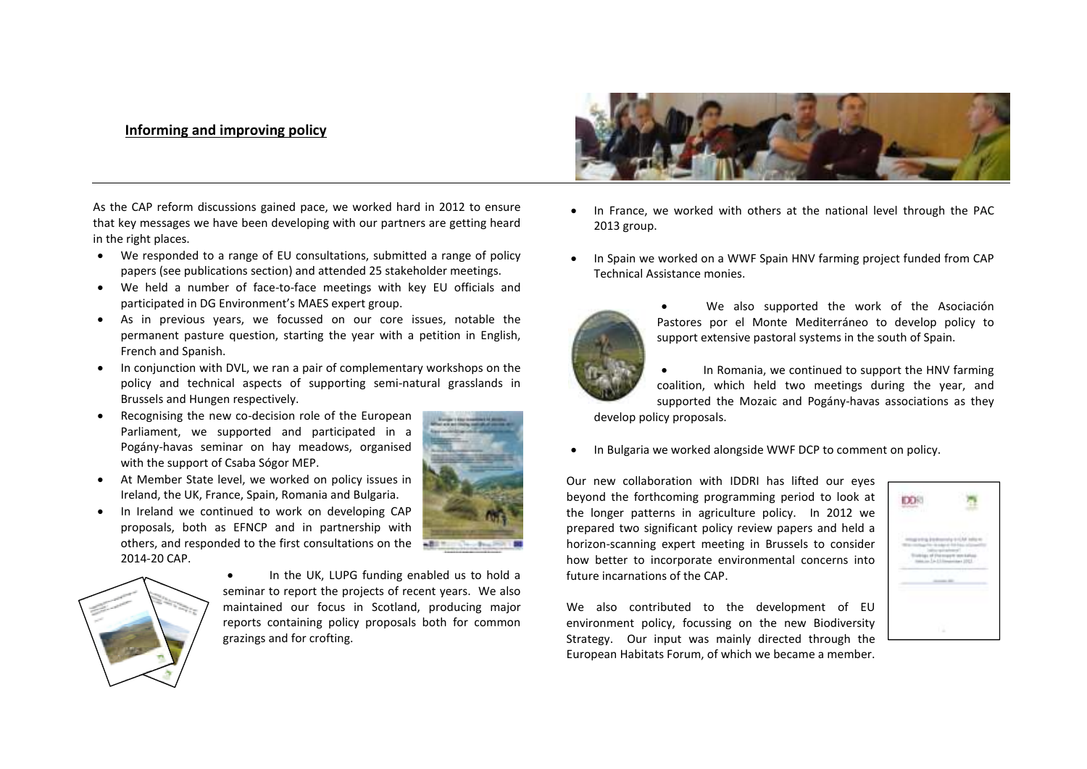## **Informing and improving policy**

As the CAP reform discussions gained pace, we worked hard in 2012 to ensure that key messages we have been developing with our partners are getting heard in the right places.

- We responded to a range of EU consultations, submitted a range of policy papers (see publications section) and attended 25 stakeholder meetings.
- We held a number of face-to-face meetings with key EU officials and participated in DG Environment's MAES expert group.
- As in previous years, we focussed on our core issues, notable the permanent pasture question, starting the year with a petition in English, French and Spanish.
- In conjunction with DVL, we ran a pair of complementary workshops on the policy and technical aspects of supporting semi-natural grasslands in Brussels and Hungen respectively.
- Recognising the new co-decision role of the European Parliament, we supported and participated in a Pogány-havas seminar on hay meadows, organised with the support of Csaba Sógor MEP.



- At Member State level, we worked on policy issues in Ireland, the UK, France, Spain, Romania and Bulgaria.
- • In Ireland we continued to work on developing CAP proposals, both as EFNCP and in partnership with others, and responded to the first consultations on the 2014-20 CAP.



• In the UK, LUPG funding enabled us to hold a seminar to report the projects of recent years. We also maintained our focus in Scotland, producing major reports containing policy proposals both for commongrazings and for crofting.



- • In France, we worked with others at the national level through the PAC 2013 group.
- • In Spain we worked on a WWF Spain HNV farming project funded from CAP Technical Assistance monies.



We also supported the work of the Asociación Pastores por el Monte Mediterráneo to develop policy to support extensive pastoral systems in the south of Spain.

• In Romania, we continued to support the HNV farming coalition, which held two meetings during the year, and supported the Mozaic and Pogány-havas associations as they develop policy proposals.

•In Bulgaria we worked alongside WWF DCP to comment on policy.

Our new collaboration with IDDRI has lifted our eyes beyond the forthcoming programming period to look at the longer patterns in agriculture policy. In 2012 we prepared two significant policy review papers and held a horizon-scanning expert meeting in Brussels to consider how better to incorporate environmental concerns into future incarnations of the CAP.

We also contributed to the development of EU environment policy, focussing on the new Biodiversity Strategy. Our input was mainly directed through the European Habitats Forum, of which we became a member.

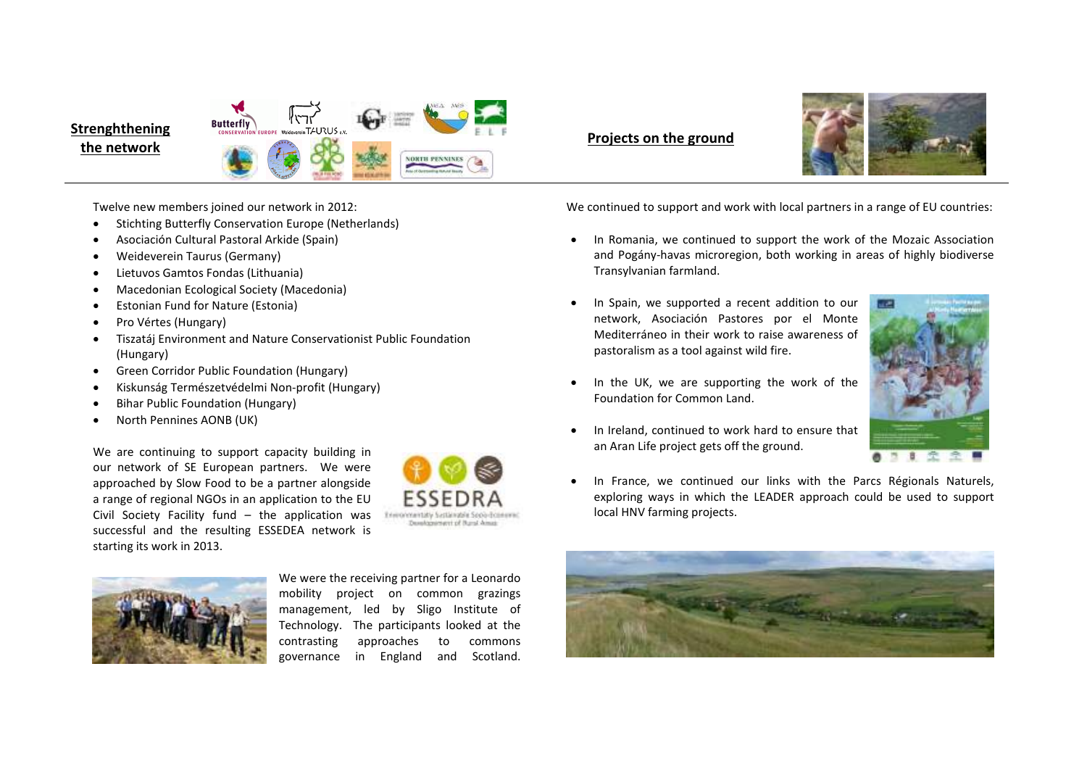## אדא! **Butterfly Strenghthening the network** *Projects on the ground* **NORTH PENNINES**

•



Twelve new members joined our network in 2012:

- •Stichting Butterfly Conservation Europe (Netherlands)
- •Asociación Cultural Pastoral Arkide (Spain)
- •Weideverein Taurus (Germany)
- •Lietuvos Gamtos Fondas (Lithuania)
- •Macedonian Ecological Society (Macedonia)
- •Estonian Fund for Nature (Estonia)
- •Pro Vértes (Hungary)
- • Tiszatáj Environment and Nature Conservationist Public Foundation (Hungary)
- •Green Corridor Public Foundation (Hungary)
- •Kiskunság Természetvédelmi Non-profit (Hungary)
- •Bihar Public Foundation (Hungary)
- •North Pennines AONB (UK)

We are continuing to support capacity building in our network of SE European partners. We were approached by Slow Food to be a partner alongside a range of regional NGOs in an application to the EU Civil Society Facility fund – the application was successful and the resulting ESSEDEA network is starting its work in 2013.





We were the receiving partner for a Leonardo mobility project on common grazings management, led by Sligo Institute of Technology. The participants looked at the contrasting approaches to commons governance in England and Scotland.

We continued to support and work with local partners in a range of EU countries:

- $\bullet$  In Romania, we continued to support the work of the Mozaic Association and Pogány-havas microregion, both working in areas of highly biodiverse Transylvanian farmland.
- • In Spain, we supported a recent addition to our network, Asociación Pastores por el Monte Mediterráneo in their work to raise awareness of pastoralism as a tool against wild fire.



• In Ireland, continued to work hard to ensure that an Aran Life project gets off the ground.

Foundation for Common Land.

In the UK, we are supporting the work of the

• In France, we continued our links with the Parcs Régionals Naturels, exploring ways in which the LEADER approach could be used to support local HNV farming projects.

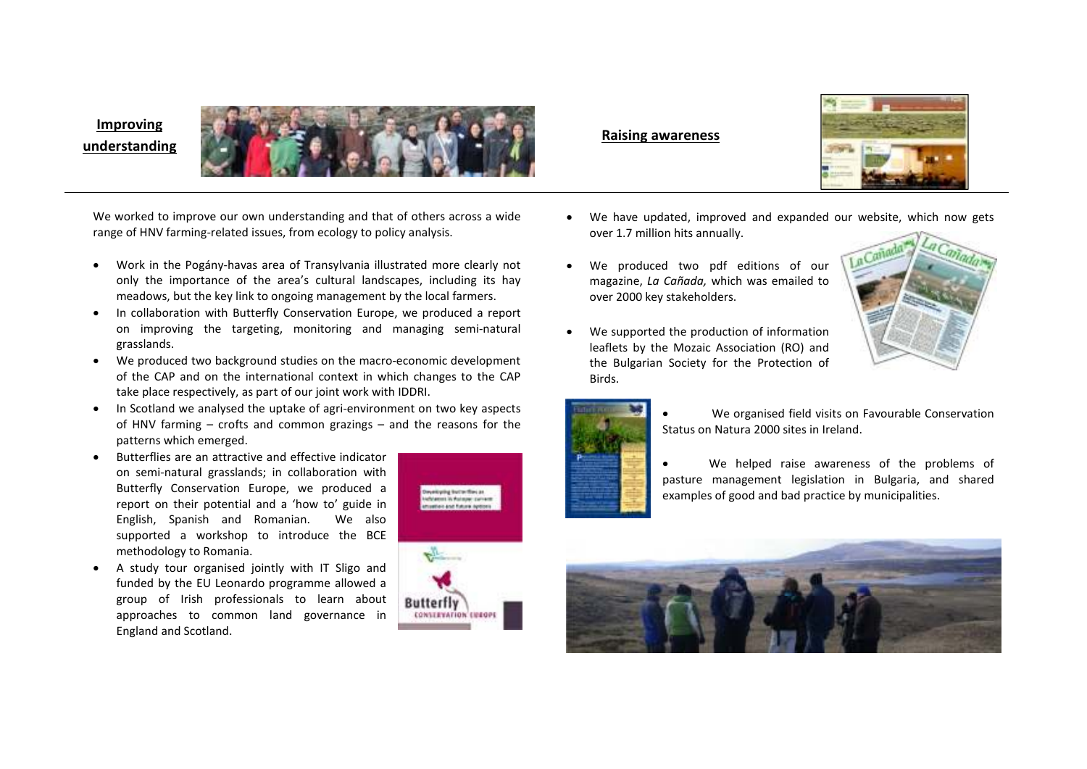# **Improving**





We worked to improve our own understanding and that of others across a wide range of HNV farming-related issues, from ecology to policy analysis.

- Work in the Pogány-havas area of Transylvania illustrated more clearly not only the importance of the area's cultural landscapes, including its hay meadows, but the key link to ongoing management by the local farmers.
- In collaboration with Butterfly Conservation Europe, we produced a report •on improving the targeting, monitoring and managing semi-natural grasslands.
- We produced two background studies on the macro-economic development of the CAP and on the international context in which changes to the CAP take place respectively, as part of our joint work with IDDRI.
- • In Scotland we analysed the uptake of agri-environment on two key aspects of HNV farming – crofts and common grazings – and the reasons for the patterns which emerged.
- • Butterflies are an attractive and effective indicator on semi-natural grasslands; in collaboration with Butterfly Conservation Europe, we produced a report on their potential and a 'how to' guide in English, Spanish and Romanian. We also supported a workshop to introduce the BCE methodology to Romania.
- A study tour organised jointly with IT Sligo and funded by the EU Leonardo programme allowed a group of Irish professionals to learn about approaches to common land governance in England and Scotland.



- • We have updated, improved and expanded our website, which now gets over 1.7 million hits annually.
- • We produced two pdf editions of our magazine, *La Cañada,* which was emailed to over 2000 key stakeholders.
- • We supported the production of information leaflets by the Mozaic Association (RO) and the Bulgarian Society for the Protection of Birds.





- We organised field visits on Favourable Conservation Status on Natura 2000 sites in Ireland.
- • We helped raise awareness of the problems of pasture management legislation in Bulgaria, and shared examples of good and bad practice by municipalities.